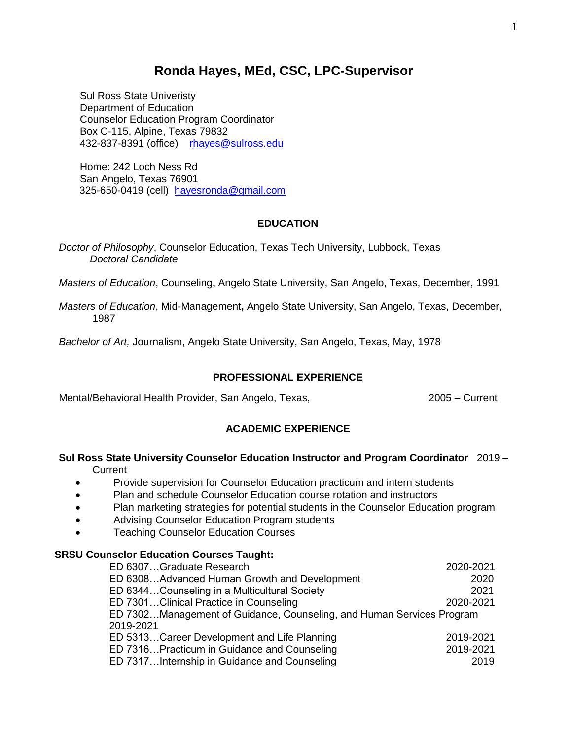# **Ronda Hayes, MEd, CSC, LPC-Supervisor**

Sul Ross State Univeristy Department of Education Counselor Education Program Coordinator Box C-115, Alpine, Texas 79832 432-837-8391 (office) [rhayes@sulross.edu](mailto:rhayes@sulross.edu)

Home: 242 Loch Ness Rd San Angelo, Texas 76901 325-650-0419 (cell) [hayesronda@gmail.com](mailto:hayesronda@gmail.com)

# **EDUCATION**

*Doctor of Philosophy*, Counselor Education, Texas Tech University, Lubbock, Texas *Doctoral Candidate*

*Masters of Education*, Counseling**,** Angelo State University, San Angelo, Texas, December, 1991

*Masters of Education*, Mid-Management**,** Angelo State University, San Angelo, Texas, December, 1987

*Bachelor of Art,* Journalism, Angelo State University, San Angelo, Texas, May, 1978

# **PROFESSIONAL EXPERIENCE**

Mental/Behavioral Health Provider, San Angelo, Texas, 2005 – Current

# **ACADEMIC EXPERIENCE**

# **Sul Ross State University Counselor Education Instructor and Program Coordinator** 2019 –

**Current** 

- Provide supervision for Counselor Education practicum and intern students
- Plan and schedule Counselor Education course rotation and instructors
- Plan marketing strategies for potential students in the Counselor Education program
- Advising Counselor Education Program students
- Teaching Counselor Education Courses

#### **SRSU Counselor Education Courses Taught:**

| ED 6307Graduate Research                                              | 2020-2021 |
|-----------------------------------------------------------------------|-----------|
| ED 6308Advanced Human Growth and Development                          | 2020      |
| ED 6344Counseling in a Multicultural Society                          | 2021      |
| ED 7301Clinical Practice in Counseling                                | 2020-2021 |
| ED 7302Management of Guidance, Counseling, and Human Services Program |           |
| 2019-2021                                                             |           |
| ED 5313Career Development and Life Planning                           | 2019-2021 |
| ED 7316Practicum in Guidance and Counseling                           | 2019-2021 |
| ED 7317Internship in Guidance and Counseling                          | 2019      |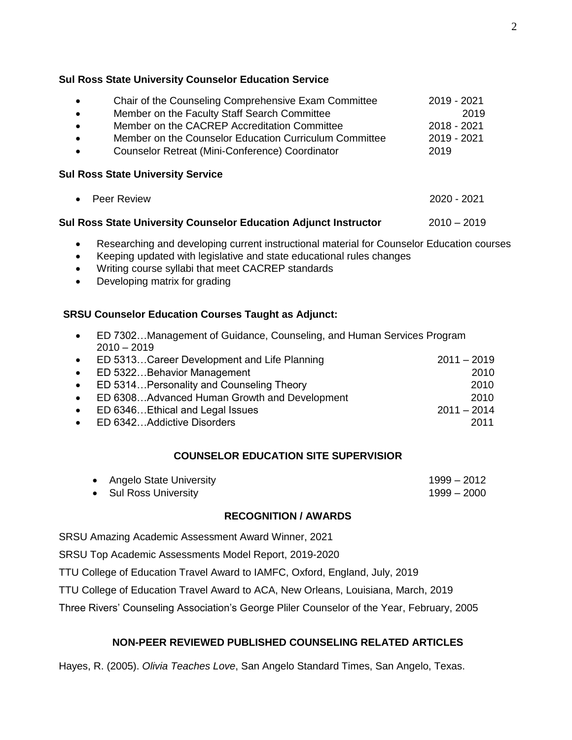#### **Sul Ross State University Counselor Education Service**

| Chair of the Counseling Comprehensive Exam Committee<br>$\bullet$   |                                                                                                                                                                   | 2019 - 2021   |
|---------------------------------------------------------------------|-------------------------------------------------------------------------------------------------------------------------------------------------------------------|---------------|
| $\bullet$                                                           | Member on the Faculty Staff Search Committee                                                                                                                      | 2019          |
| Member on the CACREP Accreditation Committee<br>$\bullet$           |                                                                                                                                                                   | 2018 - 2021   |
| Member on the Counselor Education Curriculum Committee<br>$\bullet$ |                                                                                                                                                                   | 2019 - 2021   |
| $\bullet$                                                           | Counselor Retreat (Mini-Conference) Coordinator                                                                                                                   | 2019          |
| $\bullet$                                                           | <b>Sul Ross State University Service</b><br><b>Peer Review</b>                                                                                                    | 2020 - 2021   |
|                                                                     | Sul Ross State University Counselor Education Adjunct Instructor                                                                                                  | $2010 - 2019$ |
| $\bullet$                                                           | Researching and developing current instructional material for Counselor Education courses<br>Keeping updated with legislative and state educational rules changes |               |

- Writing course syllabi that meet CACREP standards
- Developing matrix for grading

# **SRSU Counselor Education Courses Taught as Adjunct:**

| $\bullet$ | ED 7302Management of Guidance, Counseling, and Human Services Program |               |
|-----------|-----------------------------------------------------------------------|---------------|
|           | $2010 - 2019$                                                         |               |
|           | • ED 5313Career Development and Life Planning                         | $2011 - 2019$ |
| $\bullet$ | ED 5322Behavior Management                                            | 2010          |
|           | • ED 5314 Personality and Counseling Theory                           | 2010          |
| $\bullet$ | ED 6308Advanced Human Growth and Development                          | 2010          |
| $\bullet$ | ED 6346Ethical and Legal Issues                                       | $2011 - 2014$ |
|           | • ED 6342Addictive Disorders                                          | 2011          |

# **COUNSELOR EDUCATION SITE SUPERVISIOR**

| • Angelo State University | 1999 – 2012 |
|---------------------------|-------------|
| • Sul Ross University     | 1999 – 2000 |

# **RECOGNITION / AWARDS**

SRSU Amazing Academic Assessment Award Winner, 2021

SRSU Top Academic Assessments Model Report, 2019-2020

TTU College of Education Travel Award to IAMFC, Oxford, England, July, 2019

TTU College of Education Travel Award to ACA, New Orleans, Louisiana, March, 2019

Three Rivers' Counseling Association's George Pliler Counselor of the Year, February, 2005

# **NON-PEER REVIEWED PUBLISHED COUNSELING RELATED ARTICLES**

Hayes, R. (2005). *Olivia Teaches Love*, San Angelo Standard Times, San Angelo, Texas.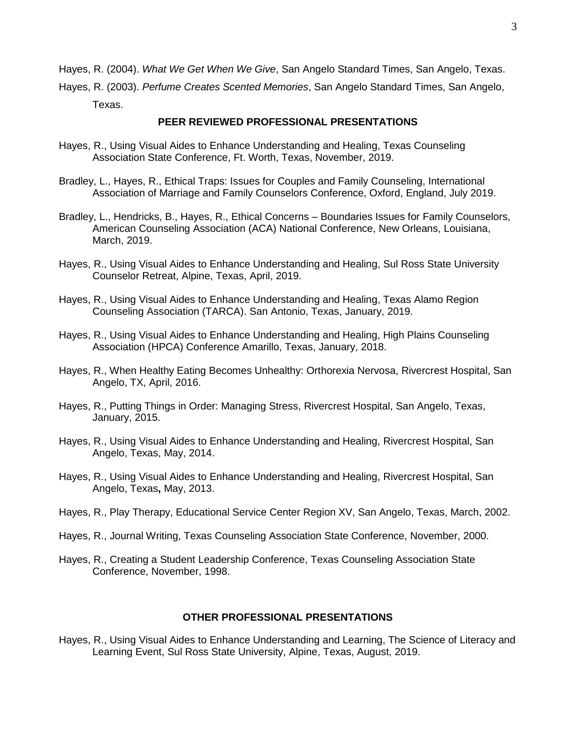Hayes, R. (2004). *What We Get When We Give*, San Angelo Standard Times, San Angelo, Texas.

Hayes, R. (2003). *Perfume Creates Scented Memories*, San Angelo Standard Times, San Angelo, Texas.

#### **PEER REVIEWED PROFESSIONAL PRESENTATIONS**

- Hayes, R., Using Visual Aides to Enhance Understanding and Healing, Texas Counseling Association State Conference, Ft. Worth, Texas, November, 2019.
- Bradley, L., Hayes, R., Ethical Traps: Issues for Couples and Family Counseling, International Association of Marriage and Family Counselors Conference, Oxford, England, July 2019.
- Bradley, L., Hendricks, B., Hayes, R., Ethical Concerns Boundaries Issues for Family Counselors, American Counseling Association (ACA) National Conference, New Orleans, Louisiana, March, 2019.
- Hayes, R., Using Visual Aides to Enhance Understanding and Healing, Sul Ross State University Counselor Retreat, Alpine, Texas, April, 2019.
- Hayes, R., Using Visual Aides to Enhance Understanding and Healing, Texas Alamo Region Counseling Association (TARCA). San Antonio, Texas, January, 2019.
- Hayes, R., Using Visual Aides to Enhance Understanding and Healing, High Plains Counseling Association (HPCA) Conference Amarillo, Texas, January, 2018.
- Hayes, R., When Healthy Eating Becomes Unhealthy: Orthorexia Nervosa, Rivercrest Hospital, San Angelo, TX, April, 2016.
- Hayes, R., Putting Things in Order: Managing Stress, Rivercrest Hospital, San Angelo, Texas, January, 2015.
- Hayes, R., Using Visual Aides to Enhance Understanding and Healing, Rivercrest Hospital, San Angelo, Texas, May, 2014.
- Hayes, R., Using Visual Aides to Enhance Understanding and Healing, Rivercrest Hospital, San Angelo, Texas**,** May, 2013.
- Hayes, R., Play Therapy, Educational Service Center Region XV, San Angelo, Texas, March, 2002.
- Hayes, R., Journal Writing, Texas Counseling Association State Conference, November, 2000.
- Hayes, R., Creating a Student Leadership Conference, Texas Counseling Association State Conference, November, 1998.

#### **OTHER PROFESSIONAL PRESENTATIONS**

Hayes, R., Using Visual Aides to Enhance Understanding and Learning, The Science of Literacy and Learning Event, Sul Ross State University, Alpine, Texas, August, 2019.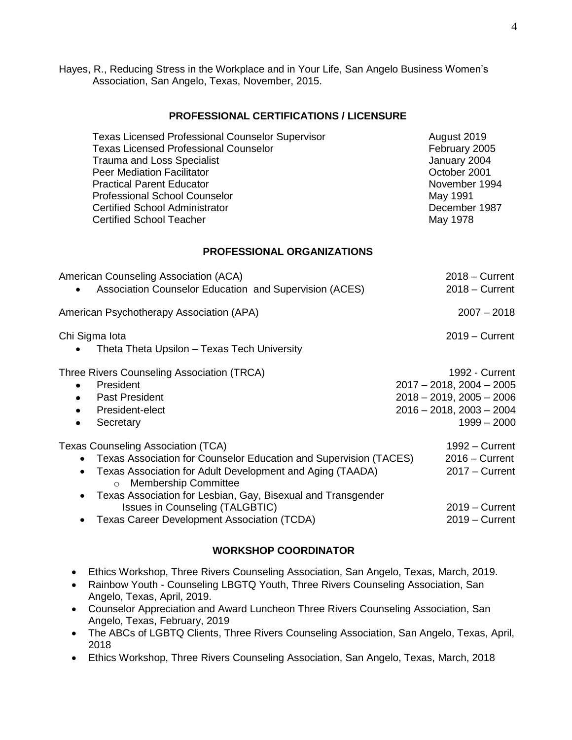Hayes, R., Reducing Stress in the Workplace and in Your Life, San Angelo Business Women's Association, San Angelo, Texas, November, 2015.

#### **PROFESSIONAL CERTIFICATIONS / LICENSURE**

| <b>Texas Licensed Professional Counselor Supervisor</b> | August 2019   |
|---------------------------------------------------------|---------------|
| <b>Texas Licensed Professional Counselor</b>            | February 2005 |
| <b>Trauma and Loss Specialist</b>                       | January 2004  |
| <b>Peer Mediation Facilitator</b>                       | October 2001  |
| <b>Practical Parent Educator</b>                        | November 1994 |
| <b>Professional School Counselor</b>                    | May 1991      |
| <b>Certified School Administrator</b>                   | December 1987 |
| <b>Certified School Teacher</b>                         | May 1978      |
|                                                         |               |

#### **PROFESSIONAL ORGANIZATIONS**

| American Counseling Association (ACA)<br>Association Counselor Education and Supervision (ACES)                                                                                                                                                                                                                                                                                      | $2018 -$ Current<br>$2018 -$ Current                                                                                             |
|--------------------------------------------------------------------------------------------------------------------------------------------------------------------------------------------------------------------------------------------------------------------------------------------------------------------------------------------------------------------------------------|----------------------------------------------------------------------------------------------------------------------------------|
| American Psychotherapy Association (APA)                                                                                                                                                                                                                                                                                                                                             | $2007 - 2018$                                                                                                                    |
| Chi Sigma Iota<br>Theta Theta Upsilon - Texas Tech University                                                                                                                                                                                                                                                                                                                        | $2019 -$ Current                                                                                                                 |
| Three Rivers Counseling Association (TRCA)<br>President<br>$\bullet$<br><b>Past President</b><br>$\bullet$<br>President-elect<br>٠<br>Secretary<br>$\bullet$                                                                                                                                                                                                                         | 1992 - Current<br>$2017 - 2018$ , $2004 - 2005$<br>$2018 - 2019$ , $2005 - 2006$<br>$2016 - 2018$ , $2003 - 2004$<br>1999 - 2000 |
| Texas Counseling Association (TCA)<br>Texas Association for Counselor Education and Supervision (TACES)<br>Texas Association for Adult Development and Aging (TAADA)<br><b>Membership Committee</b><br>$\circ$<br>Texas Association for Lesbian, Gay, Bisexual and Transgender<br>$\bullet$<br>Issues in Counseling (TALGBTIC)<br><b>Texas Career Development Association (TCDA)</b> | 1992 – Current<br>$2016 -$ Current<br>$2017 -$ Current<br>$2019 -$ Current<br>$2019 -$ Current                                   |

#### **WORKSHOP COORDINATOR**

- Ethics Workshop, Three Rivers Counseling Association, San Angelo, Texas, March, 2019.
- Rainbow Youth Counseling LBGTQ Youth, Three Rivers Counseling Association, San Angelo, Texas, April, 2019.
- Counselor Appreciation and Award Luncheon Three Rivers Counseling Association, San Angelo, Texas, February, 2019
- The ABCs of LGBTQ Clients, Three Rivers Counseling Association, San Angelo, Texas, April, 2018
- Ethics Workshop, Three Rivers Counseling Association, San Angelo, Texas, March, 2018